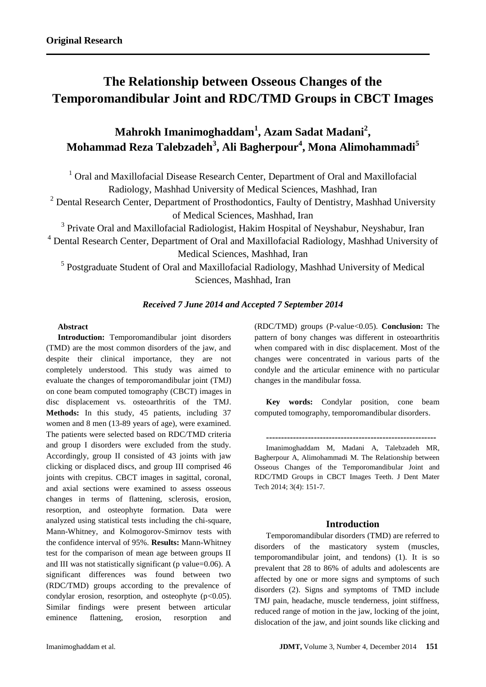# **The Relationship between Osseous Changes of the Temporomandibular Joint and RDC/TMD Groups in CBCT Images**

## **Mahrokh Imanimoghaddam<sup>1</sup> , Azam Sadat Madani<sup>2</sup> , Mohammad Reza Talebzadeh<sup>3</sup> , Ali Bagherpour<sup>4</sup> , Mona Alimohammadi<sup>5</sup>**

<sup>1</sup> Oral and Maxillofacial Disease Research Center, Department of Oral and Maxillofacial Radiology, Mashhad University of Medical Sciences, Mashhad, Iran

 $2$  Dental Research Center, Department of Prosthodontics, Faulty of Dentistry, Mashhad University of Medical Sciences, Mashhad, Iran

<sup>3</sup> Private Oral and Maxillofacial Radiologist, Hakim Hospital of Neyshabur, Neyshabur, Iran

<sup>4</sup> Dental Research Center, Department of Oral and Maxillofacial Radiology, Mashhad University of Medical Sciences, Mashhad, Iran

<sup>5</sup> Postgraduate Student of Oral and Maxillofacial Radiology, Mashhad University of Medical Sciences, Mashhad, Iran

## *Received 7 June 2014 and Accepted 7 September 2014*

## **Abstract**

**Introduction:** Temporomandibular joint disorders (TMD) are the most common disorders of the jaw, and despite their clinical importance, they are not completely understood. This study was aimed to evaluate the changes of temporomandibular joint (TMJ) on cone beam computed tomography (CBCT) images in disc displacement vs. osteoarthritis of the TMJ. **Methods:** In this study, 45 patients, including 37 women and 8 men (13-89 years of age), were examined. The patients were selected based on RDC/TMD criteria and group I disorders were excluded from the study. Accordingly, group II consisted of 43 joints with jaw clicking or displaced discs, and group III comprised 46 joints with crepitus. CBCT images in sagittal, coronal, and axial sections were examined to assess osseous changes in terms of flattening, sclerosis, erosion, resorption, and osteophyte formation. Data were analyzed using statistical tests including the chi-square, Mann-Whitney, and Kolmogorov-Smirnov tests with the confidence interval of 95%. **Results:** Mann-Whitney test for the comparison of mean age between groups II and III was not statistically significant (p value=0.06). A significant differences was found between two (RDC/TMD) groups according to the prevalence of condylar erosion, resorption, and osteophyte  $(p<0.05)$ . Similar findings were present between articular eminence flattening, erosion, resorption and

(RDC/TMD) groups (P-value<0.05). **Conclusion:** The pattern of bony changes was different in osteoarthritis when compared with in disc displacement. Most of the changes were concentrated in various parts of the condyle and the articular eminence with no particular changes in the mandibular fossa.

**Key words:** Condylar position, cone beam computed tomography, temporomandibular disorders.

**---------------------------------------------------------**

Imanimoghaddam M, Madani A, Talebzadeh MR, Bagherpour A, Alimohammadi M. The Relationship between Osseous Changes of the Temporomandibular Joint and RDC/TMD Groups in CBCT Images Teeth. J Dent Mater Tech 2014; 3(4): 151-7.

## **Introduction**

Temporomandibular disorders (TMD) are referred to disorders of the masticatory system (muscles, temporomandibular joint, and tendons) (1). It is so prevalent that 28 to 86% of adults and adolescents are affected by one or more signs and symptoms of such disorders (2). Signs and symptoms of TMD include TMJ pain, headache, muscle tenderness, joint stiffness, reduced range of motion in the jaw, locking of the joint, dislocation of the jaw, and joint sounds like clicking and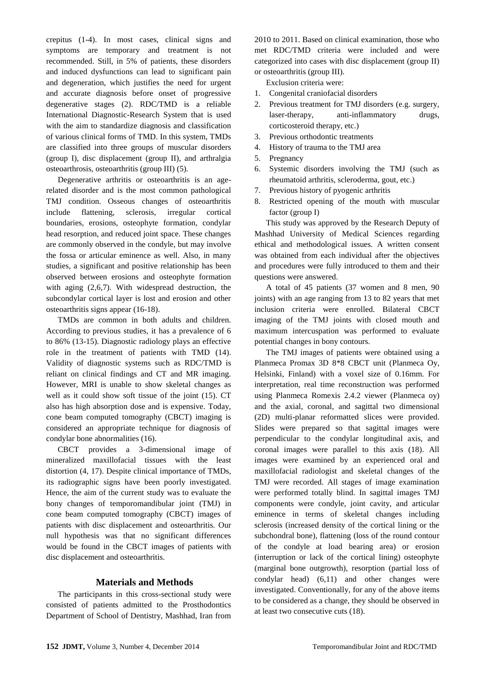crepitus (1-4). In most cases, clinical signs and symptoms are temporary and treatment is not recommended. Still, in 5% of patients, these disorders and induced dysfunctions can lead to significant pain and degeneration, which justifies the need for urgent and accurate diagnosis before onset of progressive degenerative stages (2). RDC/TMD is a reliable International Diagnostic-Research System that is used with the aim to standardize diagnosis and classification of various clinical forms of TMD. In this system, TMDs are classified into three groups of muscular disorders (group I), disc displacement (group II), and arthralgia osteoarthrosis, osteoarthritis (group III) (5).

Degenerative arthritis or osteoarthritis is an agerelated disorder and is the most common pathological TMJ condition. Osseous changes of osteoarthritis include flattening, sclerosis, irregular cortical boundaries, erosions, osteophyte formation, condylar head resorption, and reduced joint space. These changes are commonly observed in the condyle, but may involve the fossa or articular eminence as well. Also, in many studies, a significant and positive relationship has been observed between erosions and osteophyte formation with aging (2,6,7). With widespread destruction, the subcondylar cortical layer is lost and erosion and other osteoarthritis signs appear (16-18).

TMDs are common in both adults and children. According to previous studies, it has a prevalence of 6 to 86% (13-15). Diagnostic radiology plays an effective role in the treatment of patients with TMD (14). Validity of diagnostic systems such as RDC/TMD is reliant on clinical findings and CT and MR imaging. However, MRI is unable to show skeletal changes as well as it could show soft tissue of the joint (15). CT also has high absorption dose and is expensive. Today, cone beam computed tomography (CBCT) imaging is considered an appropriate technique for diagnosis of condylar bone abnormalities (16).

CBCT provides a 3-dimensional image of mineralized maxillofacial tissues with the least distortion (4, 17). Despite clinical importance of TMDs, its radiographic signs have been poorly investigated. Hence, the aim of the current study was to evaluate the bony changes of temporomandibular joint (TMJ) in cone beam computed tomography (CBCT) images of patients with disc displacement and osteoarthritis. Our null hypothesis was that no significant differences would be found in the CBCT images of patients with disc displacement and osteoarthritis.

## **Materials and Methods**

The participants in this cross-sectional study were consisted of patients admitted to the Prosthodontics Department of School of Dentistry, Mashhad, Iran from 2010 to 2011. Based on clinical examination, those who met RDC/TMD criteria were included and were categorized into cases with disc displacement (group II) or osteoarthritis (group III).

Exclusion criteria were:

- 1. Congenital craniofacial disorders
- 2. Previous treatment for TMJ disorders (e.g. surgery, laser-therapy, anti-inflammatory drugs, corticosteroid therapy, etc.)
- 3. Previous orthodontic treatments
- 4. History of trauma to the TMJ area
- 5. Pregnancy
- 6. Systemic disorders involving the TMJ (such as rheumatoid arthritis, scleroderma, gout, etc.)
- 7. Previous history of pyogenic arthritis
- 8. Restricted opening of the mouth with muscular factor (group I)

This study was approved by the Research Deputy of Mashhad University of Medical Sciences regarding ethical and methodological issues. A written consent was obtained from each individual after the objectives and procedures were fully introduced to them and their questions were answered.

A total of 45 patients (37 women and 8 men, 90 joints) with an age ranging from 13 to 82 years that met inclusion criteria were enrolled. Bilateral CBCT imaging of the TMJ joints with closed mouth and maximum intercuspation was performed to evaluate potential changes in bony contours.

The TMJ images of patients were obtained using a Planmeca Promax 3D 8\*8 CBCT unit (Planmeca Oy, Helsinki, Finland) with a voxel size of 0.16mm. For interpretation, real time reconstruction was performed using Planmeca Romexis 2.4.2 viewer (Planmeca oy) and the axial, coronal, and sagittal two dimensional (2D) multi-planar reformatted slices were provided. Slides were prepared so that sagittal images were perpendicular to the condylar longitudinal axis, and coronal images were parallel to this axis (18). All images were examined by an experienced oral and maxillofacial radiologist and skeletal changes of the TMJ were recorded. All stages of image examination were performed totally blind. In sagittal images TMJ components were condyle, joint cavity, and articular eminence in terms of skeletal changes including sclerosis (increased density of the cortical lining or the subchondral bone), flattening (loss of the round contour of the condyle at load bearing area) or erosion (interruption or lack of the cortical lining) osteophyte (marginal bone outgrowth), resorption (partial loss of condylar head) (6,11) and other changes were investigated. Conventionally, for any of the above items to be considered as a change, they should be observed in at least two consecutive cuts (18).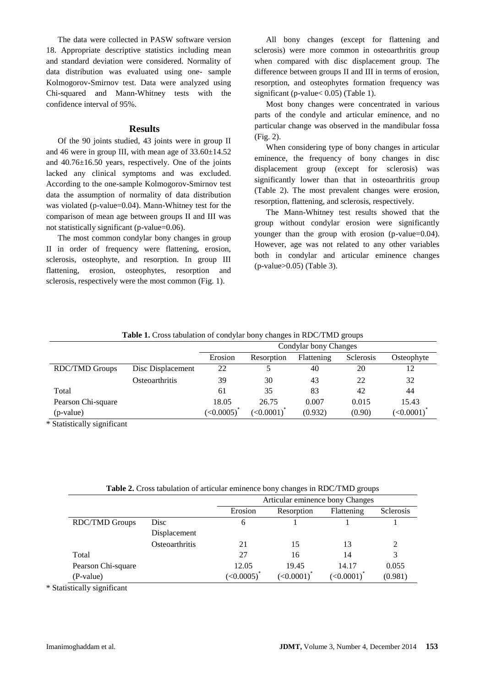The data were collected in PASW software version 18. Appropriate descriptive statistics including mean and standard deviation were considered. Normality of data distribution was evaluated using one- sample Kolmogorov-Smirnov test. Data were analyzed using Chi-squared and Mann-Whitney tests with the confidence interval of 95%.

#### **Results**

Of the 90 joints studied, 43 joints were in group II and 46 were in group III, with mean age of  $33.60 \pm 14.52$ and 40.76±16.50 years, respectively. One of the joints lacked any clinical symptoms and was excluded. According to the one-sample Kolmogorov-Smirnov test data the assumption of normality of data distribution was violated (p-value=0.04). Mann-Whitney test for the comparison of mean age between groups II and III was not statistically significant (p-value=0.06).

The most common condylar bony changes in group II in order of frequency were flattening, erosion, sclerosis, osteophyte, and resorption. In group III flattening, erosion, osteophytes, resorption and sclerosis, respectively were the most common (Fig. 1).

All bony changes (except for flattening and sclerosis) were more common in osteoarthritis group when compared with disc displacement group. The difference between groups II and III in terms of erosion, resorption, and osteophytes formation frequency was significant (p-value < 0.05) (Table 1).

Most bony changes were concentrated in various parts of the condyle and articular eminence, and no particular change was observed in the mandibular fossa (Fig. 2).

When considering type of bony changes in articular eminence, the frequency of bony changes in disc displacement group (except for sclerosis) was significantly lower than that in osteoarthritis group (Table 2). The most prevalent changes were erosion, resorption, flattening, and sclerosis, respectively.

The Mann-Whitney test results showed that the group without condylar erosion were significantly younger than the group with erosion (p-value=0.04). However, age was not related to any other variables both in condylar and articular eminence changes (p-value>0.05) (Table 3).

| <b>Table 1.</b> Cross tabulation of condylar bony changes in RDC/TMD groups |                         |                       |            |            |           |            |  |
|-----------------------------------------------------------------------------|-------------------------|-----------------------|------------|------------|-----------|------------|--|
|                                                                             |                         | Condylar bony Changes |            |            |           |            |  |
|                                                                             |                         | Erosion               | Resorption | Flattening | Sclerosis | Osteophyte |  |
| <b>RDC/TMD Groups</b>                                                       | 22<br>Disc Displacement |                       |            | 40         | 20        | 12         |  |
|                                                                             | Osteoarthritis          | 39                    | 30         | 43         | 22        | 32         |  |
| Total                                                                       |                         | 61                    | 35         | 83         | 42        | 44         |  |
| Pearson Chi-square                                                          |                         | 18.05                 | 26.75      | 0.007      | 0.015     | 15.43      |  |
| (p-value)                                                                   |                         | (<0.0005)             | (<0.0001)  | (0.932)    | (0.90)    | (<0.0001)  |  |

**Table 1.** Cross tabulation of condylar bony changes in RDC/TMD groups

\* Statistically significant

| Table 2. Cross tabulation of articular eminence bony changes in RDC/TMD groups |  |
|--------------------------------------------------------------------------------|--|
|--------------------------------------------------------------------------------|--|

|                       |                | Articular eminence bony Changes |                           |                           |           |  |
|-----------------------|----------------|---------------------------------|---------------------------|---------------------------|-----------|--|
|                       |                | Erosion                         | Resorption                | Flattening                | Sclerosis |  |
| <b>RDC/TMD Groups</b> | Disc           | 6                               |                           |                           |           |  |
|                       | Displacement   |                                 |                           |                           |           |  |
|                       | Osteoarthritis | 21                              | 15                        | 13                        | 2         |  |
| Total                 |                | 27                              | 16                        | 14                        | 3         |  |
| Pearson Chi-square    |                | 12.05                           | 19.45                     | 14.17                     | 0.055     |  |
| (P-value)             |                | (<0.0005)                       | $(<0.0001$ ) <sup>*</sup> | $(<0.0001$ ) <sup>*</sup> | (0.981)   |  |

\* Statistically significant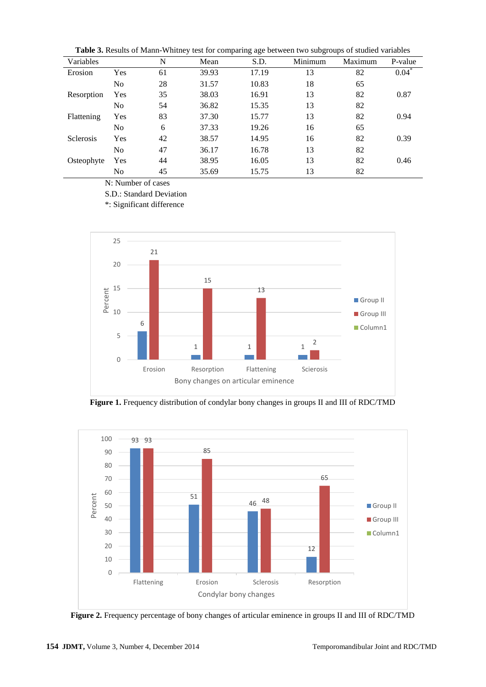**Table 3.** Results of Mann-Whitney test for comparing age between two subgroups of studied variables

| Variables        |                | N  | Mean  | S.D.  | Minimum | Maximum | P-value          |
|------------------|----------------|----|-------|-------|---------|---------|------------------|
| Erosion          | Yes            | 61 | 39.93 | 17.19 | 13      | 82      | $0.04^{\degree}$ |
|                  | No             | 28 | 31.57 | 10.83 | 18      | 65      |                  |
| Resorption       | Yes            | 35 | 38.03 | 16.91 | 13      | 82      | 0.87             |
|                  | No             | 54 | 36.82 | 15.35 | 13      | 82      |                  |
| Flattening       | Yes            | 83 | 37.30 | 15.77 | 13      | 82      | 0.94             |
|                  | N <sub>o</sub> | 6  | 37.33 | 19.26 | 16      | 65      |                  |
| <b>Sclerosis</b> | Yes            | 42 | 38.57 | 14.95 | 16      | 82      | 0.39             |
|                  | N <sub>o</sub> | 47 | 36.17 | 16.78 | 13      | 82      |                  |
| Osteophyte       | Yes            | 44 | 38.95 | 16.05 | 13      | 82      | 0.46             |
|                  | No             | 45 | 35.69 | 15.75 | 13      | 82      |                  |

N: Number of cases

S.D.: Standard Deviation

\*: Significant difference



**Figure 1.** Frequency distribution of condylar bony changes in groups II and III of RDC/TMD



**Figure 2.** Frequency percentage of bony changes of articular eminence in groups II and III of RDC/TMD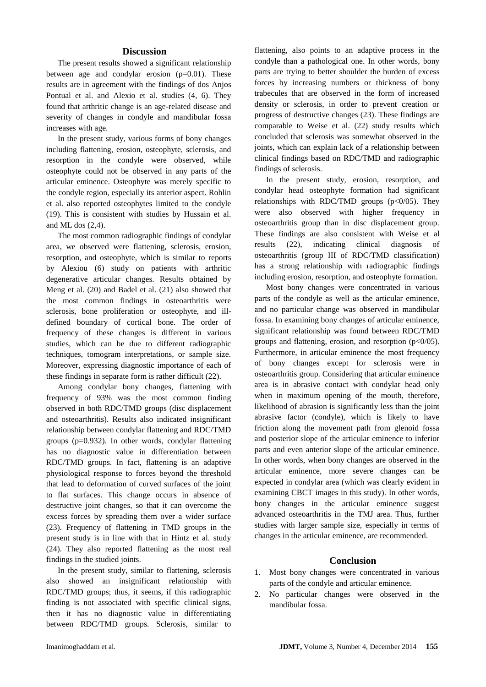#### **Discussion**

The present results showed a significant relationship between age and condylar erosion (p=0.01). These results are in agreement with the findings of dos Anjos Pontual et al. and Alexio et al. studies (4, 6). They found that arthritic change is an age-related disease and severity of changes in condyle and mandibular fossa increases with age.

In the present study, various forms of bony changes including flattening, erosion, osteophyte, sclerosis, and resorption in the condyle were observed, while osteophyte could not be observed in any parts of the articular eminence. Osteophyte was merely specific to the condyle region, especially its anterior aspect. Rohlin et al. also reported osteophytes limited to the condyle (19). This is consistent with studies by Hussain et al. and ML dos (2,4).

The most common radiographic findings of condylar area, we observed were flattening, sclerosis, erosion, resorption, and osteophyte, which is similar to reports by Alexiou (6) study on patients with arthritic degenerative articular changes. Results obtained by Meng et al. (20) and Badel et al. (21) also showed that the most common findings in osteoarthritis were sclerosis, bone proliferation or osteophyte, and illdefined boundary of cortical bone. The order of frequency of these changes is different in various studies, which can be due to different radiographic techniques, tomogram interpretations, or sample size. Moreover, expressing diagnostic importance of each of these findings in separate form is rather difficult (22).

Among condylar bony changes, flattening with frequency of 93% was the most common finding observed in both RDC/TMD groups (disc displacement and osteoarthritis). Results also indicated insignificant relationship between condylar flattening and RDC/TMD groups (p=0.932). In other words, condylar flattening has no diagnostic value in differentiation between RDC/TMD groups. In fact, flattening is an adaptive physiological response to forces beyond the threshold that lead to deformation of curved surfaces of the joint to flat surfaces. This change occurs in absence of destructive joint changes, so that it can overcome the excess forces by spreading them over a wider surface (23). Frequency of flattening in TMD groups in the present study is in line with that in Hintz et al. study (24). They also reported flattening as the most real findings in the studied joints.

In the present study, similar to flattening, sclerosis also showed an insignificant relationship with RDC/TMD groups; thus, it seems, if this radiographic finding is not associated with specific clinical signs, then it has no diagnostic value in differentiating between RDC/TMD groups. Sclerosis, similar to

flattening, also points to an adaptive process in the condyle than a pathological one. In other words, bony parts are trying to better shoulder the burden of excess forces by increasing numbers or thickness of bony trabecules that are observed in the form of increased density or sclerosis, in order to prevent creation or progress of destructive changes (23). These findings are comparable to Weise et al. (22) study results which concluded that sclerosis was somewhat observed in the joints, which can explain lack of a relationship between clinical findings based on RDC/TMD and radiographic findings of sclerosis.

In the present study, erosion, resorption, and condylar head osteophyte formation had significant relationships with RDC/TMD groups  $(p<0/05)$ . They were also observed with higher frequency in osteoarthritis group than in disc displacement group. These findings are also consistent with Weise et al results (22), indicating clinical diagnosis of osteoarthritis (group III of RDC/TMD classification) has a strong relationship with radiographic findings including erosion, resorption, and osteophyte formation.

Most bony changes were concentrated in various parts of the condyle as well as the articular eminence, and no particular change was observed in mandibular fossa. In examining bony changes of articular eminence, significant relationship was found between RDC/TMD groups and flattening, erosion, and resorption  $(p<0/05)$ . Furthermore, in articular eminence the most frequency of bony changes except for sclerosis were in osteoarthritis group. Considering that articular eminence area is in abrasive contact with condylar head only when in maximum opening of the mouth, therefore, likelihood of abrasion is significantly less than the joint abrasive factor (condyle), which is likely to have friction along the movement path from glenoid fossa and posterior slope of the articular eminence to inferior parts and even anterior slope of the articular eminence. In other words, when bony changes are observed in the articular eminence, more severe changes can be expected in condylar area (which was clearly evident in examining CBCT images in this study). In other words, bony changes in the articular eminence suggest advanced osteoarthritis in the TMJ area. Thus, further studies with larger sample size, especially in terms of changes in the articular eminence, are recommended.

#### **Conclusion**

- 1. Most bony changes were concentrated in various parts of the condyle and articular eminence.
- 2. No particular changes were observed in the mandibular fossa.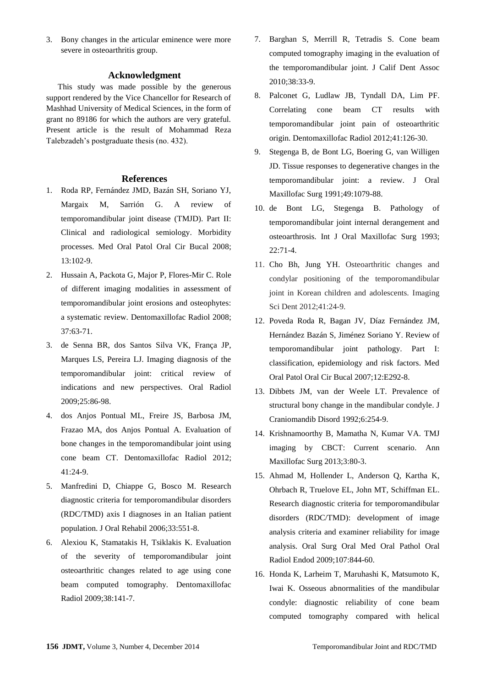3. Bony changes in the articular eminence were more severe in osteoarthritis group.

#### **Acknowledgment**

This study was made possible by the generous support rendered by the Vice Chancellor for Research of Mashhad University of Medical Sciences, in the form of grant no 89186 for which the authors are very grateful. Present article is the result of Mohammad Reza Talebzadeh's postgraduate thesis (no. 432).

#### **References**

- 1. Roda RP, Fernández JMD, Bazán SH, Soriano YJ, Margaix M, Sarrión G. A review of temporomandibular joint disease (TMJD). Part II: Clinical and radiological semiology. Morbidity processes. Med Oral Patol Oral Cir Bucal 2008; 13:102-9.
- 2. Hussain A, Packota G, Major P, Flores-Mir C. Role of different imaging modalities in assessment of temporomandibular joint erosions and osteophytes: a systematic review. Dentomaxillofac Radiol 2008; 37:63-71.
- 3. de Senna BR, dos Santos Silva VK, França JP, Marques LS, Pereira LJ. Imaging diagnosis of the temporomandibular joint: critical review of indications and new perspectives. Oral Radiol 2009;25:86-98.
- 4. dos Anjos Pontual ML, Freire JS, Barbosa JM, Frazao MA, dos Anjos Pontual A. Evaluation of bone changes in the temporomandibular joint using cone beam CT. Dentomaxillofac Radiol 2012; 41:24-9.
- 5. Manfredini D, Chiappe G, Bosco M. Research diagnostic criteria for temporomandibular disorders (RDC/TMD) axis I diagnoses in an Italian patient population. J Oral Rehabil 2006;33:551-8.
- 6. Alexiou K, Stamatakis H, Tsiklakis K. Evaluation of the severity of temporomandibular joint osteoarthritic changes related to age using cone beam computed tomography. Dentomaxillofac Radiol 2009;38:141-7.
- 7. Barghan S, Merrill R, Tetradis S. Cone beam computed tomography imaging in the evaluation of the temporomandibular joint. J Calif Dent Assoc 2010;38:33-9.
- 8. Palconet G, Ludlaw JB, Tyndall DA, Lim PF. Correlating cone beam CT results with temporomandibular joint pain of osteoarthritic origin. [Dentomaxillofac Radiol](http://www.ncbi.nlm.nih.gov/pubmed/?term=Correlating+cone+beam+CT+results+with+temporomandibular+joint+pain+of+osteoarthritic+origin) 2012;41:126-30.
- 9. Stegenga B, de Bont LG, Boering G, van Willigen JD. Tissue responses to degenerative changes in the temporomandibular joint: a review. J Oral Maxillofac Surg 1991;49:1079-88.
- 10. de Bont LG, Stegenga B. Pathology of temporomandibular joint internal derangement and osteoarthrosis. Int J Oral Maxillofac Surg 1993; 22:71-4.
- 11. Cho Bh, Jung YH. Osteoarthritic changes and condylar positioning of the temporomandibular joint in Korean children and adolescents. Imaging Sci Dent 2012;41:24-9.
- 12. Poveda Roda R, Bagan JV, Díaz Fernández JM, Hernández Bazán S, Jiménez Soriano Y. Review of temporomandibular joint pathology. Part I: classification, epidemiology and risk factors. Med Oral Patol Oral Cir Bucal 2007;12:E292-8.
- 13. Dibbets JM, van der Weele LT. Prevalence of structural bony change in the mandibular condyle. J Craniomandib Disord 1992;6:254-9.
- 14. Krishnamoorthy B, Mamatha N, Kumar VA. TMJ imaging by CBCT: Current scenario. Ann Maxillofac Surg 2013;3:80-3.
- 15. Ahmad M, Hollender L, Anderson Q, Kartha K, Ohrbach R, Truelove EL, John MT, Schiffman EL. Research diagnostic criteria for temporomandibular disorders (RDC/TMD): development of image analysis criteria and examiner reliability for image analysis. Oral Surg Oral Med Oral Pathol Oral Radiol Endod 2009;107:844-60.
- 16. Honda K, Larheim T, Maruhashi K, Matsumoto K, Iwai K. Osseous abnormalities of the mandibular condyle: diagnostic reliability of cone beam computed tomography compared with helical